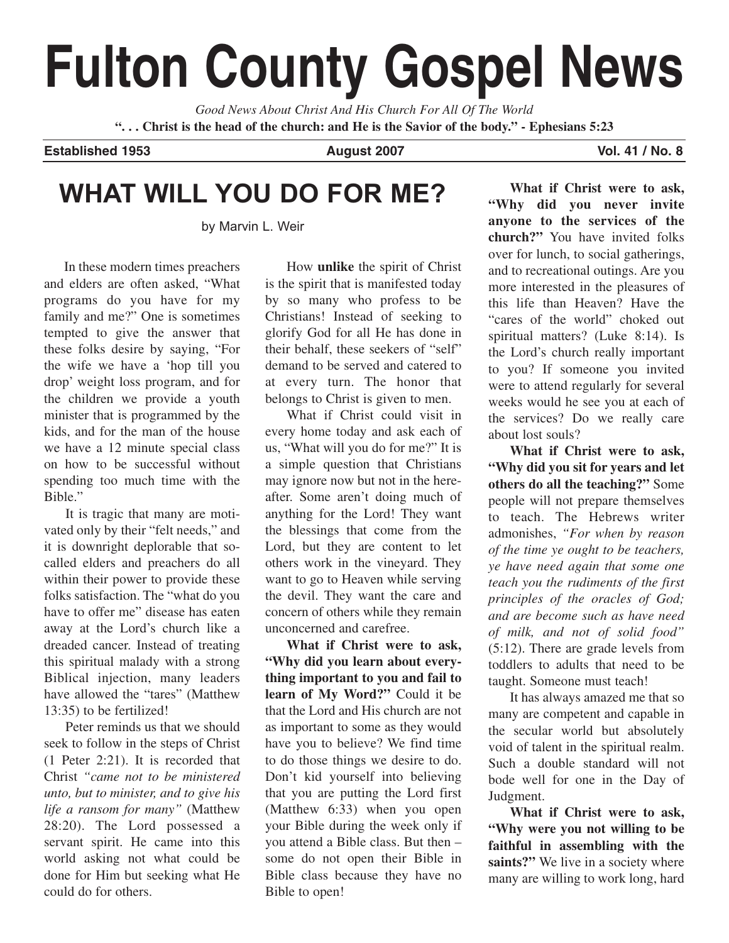# **Fulton County Gospel News**

*Good News About Christ And His Church For All Of The World* **". . . Christ is the head of the church: and He is the Savior of the body." - Ephesians 5:23**

**Established 1953 August 2007 Vol. 41 / No. 8**

# **WHAT WILL YOU DO FOR ME?**

by Marvin L. Weir

In these modern times preachers and elders are often asked, "What programs do you have for my family and me?" One is sometimes tempted to give the answer that these folks desire by saying, "For the wife we have a 'hop till you drop' weight loss program, and for the children we provide a youth minister that is programmed by the kids, and for the man of the house we have a 12 minute special class on how to be successful without spending too much time with the Bible."

It is tragic that many are motivated only by their "felt needs," and it is downright deplorable that socalled elders and preachers do all within their power to provide these folks satisfaction. The "what do you have to offer me" disease has eaten away at the Lord's church like a dreaded cancer. Instead of treating this spiritual malady with a strong Biblical injection, many leaders have allowed the "tares" (Matthew 13:35) to be fertilized!

Peter reminds us that we should seek to follow in the steps of Christ (1 Peter 2:21). It is recorded that Christ *"came not to be ministered unto, but to minister, and to give his life a ransom for many"* (Matthew 28:20). The Lord possessed a servant spirit. He came into this world asking not what could be done for Him but seeking what He could do for others.

How **unlike** the spirit of Christ is the spirit that is manifested today by so many who profess to be Christians! Instead of seeking to glorify God for all He has done in their behalf, these seekers of "self" demand to be served and catered to at every turn. The honor that belongs to Christ is given to men.

What if Christ could visit in every home today and ask each of us, "What will you do for me?" It is a simple question that Christians may ignore now but not in the hereafter. Some aren't doing much of anything for the Lord! They want the blessings that come from the Lord, but they are content to let others work in the vineyard. They want to go to Heaven while serving the devil. They want the care and concern of others while they remain unconcerned and carefree.

**What if Christ were to ask, "Why did you learn about everything important to you and fail to learn of My Word?"** Could it be that the Lord and His church are not as important to some as they would have you to believe? We find time to do those things we desire to do. Don't kid yourself into believing that you are putting the Lord first (Matthew 6:33) when you open your Bible during the week only if you attend a Bible class. But then – some do not open their Bible in Bible class because they have no Bible to open!

**What if Christ were to ask, "Why did you never invite anyone to the services of the church?"** You have invited folks over for lunch, to social gatherings, and to recreational outings. Are you more interested in the pleasures of this life than Heaven? Have the "cares of the world" choked out spiritual matters? (Luke 8:14). Is the Lord's church really important to you? If someone you invited were to attend regularly for several weeks would he see you at each of the services? Do we really care about lost souls?

**What if Christ were to ask, "Why did you sit for years and let others do all the teaching?"** Some people will not prepare themselves to teach. The Hebrews writer admonishes, *"For when by reason of the time ye ought to be teachers, ye have need again that some one teach you the rudiments of the first principles of the oracles of God; and are become such as have need of milk, and not of solid food"* (5:12). There are grade levels from toddlers to adults that need to be taught. Someone must teach!

It has always amazed me that so many are competent and capable in the secular world but absolutely void of talent in the spiritual realm. Such a double standard will not bode well for one in the Day of Judgment.

**What if Christ were to ask, "Why were you not willing to be faithful in assembling with the** saints?" We live in a society where many are willing to work long, hard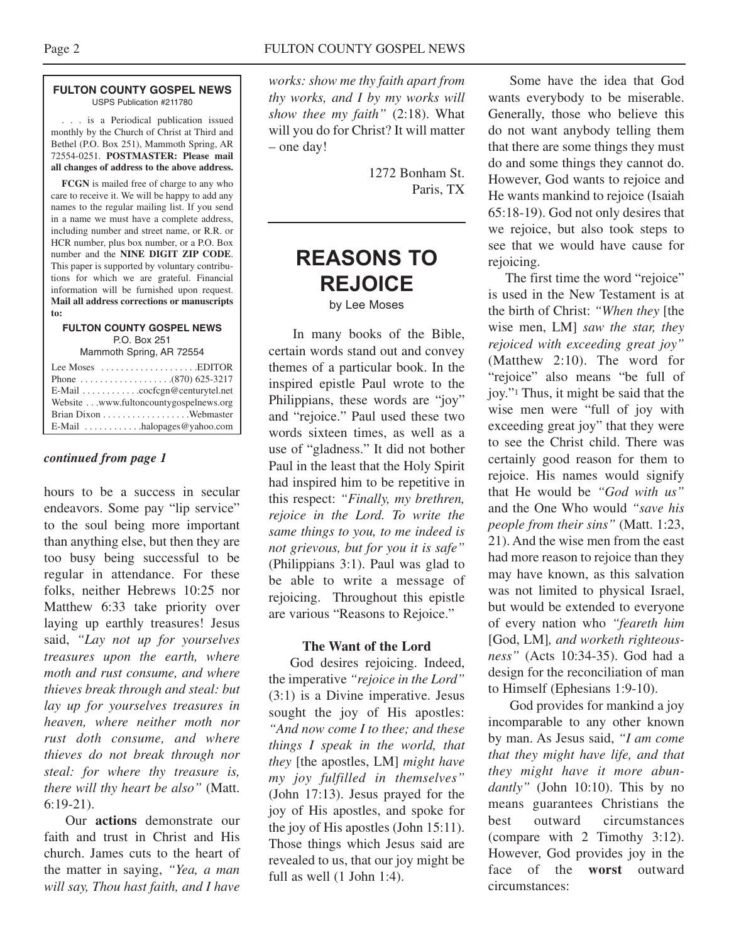#### **FULTON COUNTY GOSPEL NEWS** USPS Publication #211780

. . . is a Periodical publication issued monthly by the Church of Christ at Third and Bethel (P.O. Box 251), Mammoth Spring, AR 72554-0251. **POSTMASTER: Please mail all changes of address to the above address.**

**FCGN** is mailed free of charge to any who care to receive it. We will be happy to add any names to the regular mailing list. If you send in a name we must have a complete address, including number and street name, or R.R. or HCR number, plus box number, or a P.O. Box number and the **NINE DIGIT ZIP CODE**. This paper is supported by voluntary contributions for which we are grateful. Financial information will be furnished upon request. **Mail all address corrections or manuscripts to:**

#### **FULTON COUNTY GOSPEL NEWS** P.O. Box 251

Mammoth Spring, AR 72554

| Lee Moses $\dots \dots \dots \dots \dots$ . EDITOR |
|----------------------------------------------------|
|                                                    |
|                                                    |
| Website www.fultoncountygospelnews.org             |
|                                                    |
| E-Mail $\dots \dots \dots$ halopages @ yahoo.com   |

#### *continued from page 1*

hours to be a success in secular endeavors. Some pay "lip service" to the soul being more important than anything else, but then they are too busy being successful to be regular in attendance. For these folks, neither Hebrews 10:25 nor Matthew 6:33 take priority over laying up earthly treasures! Jesus said, *"Lay not up for yourselves treasures upon the earth, where moth and rust consume, and where thieves break through and steal: but lay up for yourselves treasures in heaven, where neither moth nor rust doth consume, and where thieves do not break through nor steal: for where thy treasure is, there will thy heart be also"* (Matt. 6:19-21).

Our **actions** demonstrate our faith and trust in Christ and His church. James cuts to the heart of the matter in saying, *"Yea, a man will say, Thou hast faith, and I have*

*works: show me thy faith apart from thy works, and I by my works will show thee my faith"* (2:18). What will you do for Christ? It will matter – one day!

> 1272 Bonham St. Paris, TX

## **REASONS TO REJOICE**

by Lee Moses

In many books of the Bible, certain words stand out and convey themes of a particular book. In the inspired epistle Paul wrote to the Philippians, these words are "joy" and "rejoice." Paul used these two words sixteen times, as well as a use of "gladness." It did not bother Paul in the least that the Holy Spirit had inspired him to be repetitive in this respect: *"Finally, my brethren, rejoice in the Lord. To write the same things to you, to me indeed is not grievous, but for you it is safe"* (Philippians 3:1). Paul was glad to be able to write a message of rejoicing. Throughout this epistle are various "Reasons to Rejoice."

### **The Want of the Lord**

God desires rejoicing. Indeed, the imperative *"rejoice in the Lord"* (3:1) is a Divine imperative. Jesus sought the joy of His apostles: *"And now come I to thee; and these things I speak in the world, that they* [the apostles, LM] *might have my joy fulfilled in themselves"* (John 17:13). Jesus prayed for the joy of His apostles, and spoke for the joy of His apostles (John 15:11). Those things which Jesus said are revealed to us, that our joy might be full as well (1 John 1:4).

Some have the idea that God wants everybody to be miserable. Generally, those who believe this do not want anybody telling them that there are some things they must do and some things they cannot do. However, God wants to rejoice and He wants mankind to rejoice (Isaiah 65:18-19). God not only desires that we rejoice, but also took steps to see that we would have cause for rejoicing.

The first time the word "rejoice" is used in the New Testament is at the birth of Christ: *"When they* [the wise men, LM] *saw the star, they rejoiced with exceeding great joy"* (Matthew 2:10). The word for "rejoice" also means "be full of joy."1 Thus, it might be said that the wise men were "full of joy with exceeding great joy" that they were to see the Christ child. There was certainly good reason for them to rejoice. His names would signify that He would be *"God with us"* and the One Who would *"save his people from their sins"* (Matt. 1:23, 21). And the wise men from the east had more reason to rejoice than they may have known, as this salvation was not limited to physical Israel, but would be extended to everyone of every nation who *"feareth him* [God, LM]*, and worketh righteousness"* (Acts 10:34-35). God had a design for the reconciliation of man to Himself (Ephesians 1:9-10).

God provides for mankind a joy incomparable to any other known by man. As Jesus said, *"I am come that they might have life, and that they might have it more abundantly"* (John 10:10). This by no means guarantees Christians the best outward circumstances (compare with 2 Timothy 3:12). However, God provides joy in the face of the **worst** outward circumstances: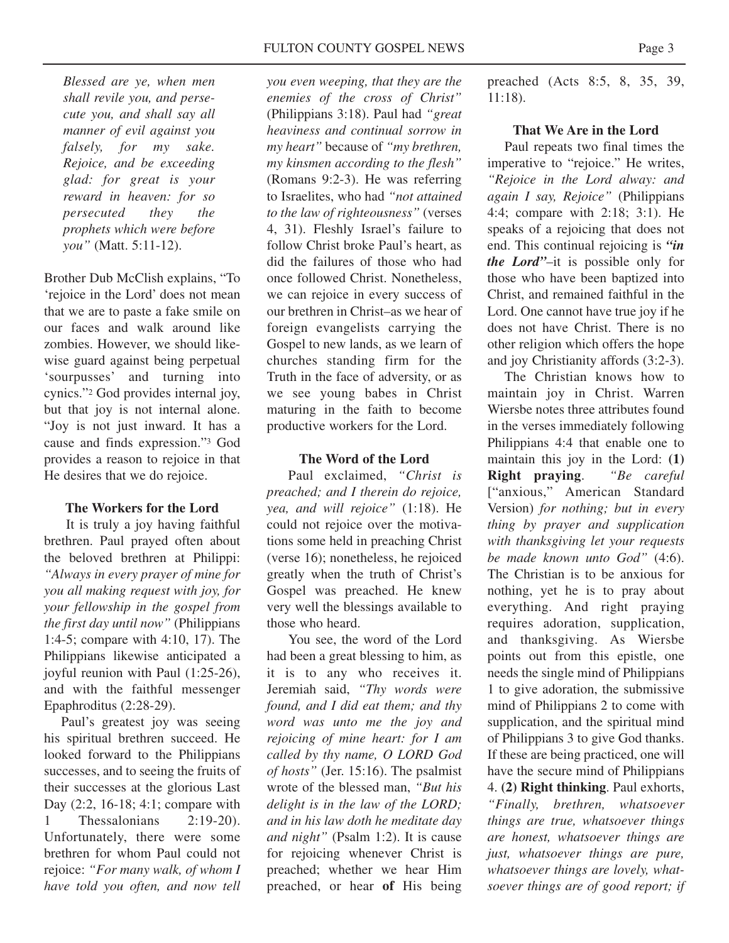*Blessed are ye, when men shall revile you, and persecute you, and shall say all manner of evil against you falsely, for my sake. Rejoice, and be exceeding glad: for great is your reward in heaven: for so persecuted they the prophets which were before you"* (Matt. 5:11-12).

Brother Dub McClish explains, "To 'rejoice in the Lord' does not mean that we are to paste a fake smile on our faces and walk around like zombies. However, we should likewise guard against being perpetual 'sourpusses' and turning into cynics."2 God provides internal joy, but that joy is not internal alone. "Joy is not just inward. It has a cause and finds expression."3 God provides a reason to rejoice in that He desires that we do rejoice.

### **The Workers for the Lord**

It is truly a joy having faithful brethren. Paul prayed often about the beloved brethren at Philippi: *"Always in every prayer of mine for you all making request with joy, for your fellowship in the gospel from the first day until now"* (Philippians 1:4-5; compare with 4:10, 17). The Philippians likewise anticipated a joyful reunion with Paul (1:25-26), and with the faithful messenger Epaphroditus (2:28-29).

Paul's greatest joy was seeing his spiritual brethren succeed. He looked forward to the Philippians successes, and to seeing the fruits of their successes at the glorious Last Day (2:2, 16-18; 4:1; compare with Thessalonians  $2:19-20$ . Unfortunately, there were some brethren for whom Paul could not rejoice: *"For many walk, of whom I have told you often, and now tell* *you even weeping, that they are the enemies of the cross of Christ"* (Philippians 3:18). Paul had *"great heaviness and continual sorrow in my heart"* because of *"my brethren, my kinsmen according to the flesh"* (Romans 9:2-3). He was referring to Israelites, who had *"not attained to the law of righteousness"* (verses 4, 31). Fleshly Israel's failure to follow Christ broke Paul's heart, as did the failures of those who had once followed Christ. Nonetheless, we can rejoice in every success of our brethren in Christ–as we hear of foreign evangelists carrying the Gospel to new lands, as we learn of churches standing firm for the Truth in the face of adversity, or as we see young babes in Christ maturing in the faith to become productive workers for the Lord.

#### **The Word of the Lord**

Paul exclaimed, *"Christ is preached; and I therein do rejoice, yea, and will rejoice"* (1:18). He could not rejoice over the motivations some held in preaching Christ (verse 16); nonetheless, he rejoiced greatly when the truth of Christ's Gospel was preached. He knew very well the blessings available to those who heard.

You see, the word of the Lord had been a great blessing to him, as it is to any who receives it. Jeremiah said, *"Thy words were found, and I did eat them; and thy word was unto me the joy and rejoicing of mine heart: for I am called by thy name, O LORD God of hosts"* (Jer. 15:16). The psalmist wrote of the blessed man, *"But his delight is in the law of the LORD; and in his law doth he meditate day and night"* (Psalm 1:2). It is cause for rejoicing whenever Christ is preached; whether we hear Him preached, or hear **of** His being preached (Acts 8:5, 8, 35, 39, 11:18).

#### **That We Are in the Lord**

Paul repeats two final times the imperative to "rejoice." He writes, *"Rejoice in the Lord alway: and again I say, Rejoice"* (Philippians 4:4; compare with 2:18; 3:1). He speaks of a rejoicing that does not end. This continual rejoicing is *"in the Lord"*–it is possible only for those who have been baptized into Christ, and remained faithful in the Lord. One cannot have true joy if he does not have Christ. There is no other religion which offers the hope and joy Christianity affords (3:2-3).

The Christian knows how to maintain joy in Christ. Warren Wiersbe notes three attributes found in the verses immediately following Philippians 4:4 that enable one to maintain this joy in the Lord: **(1) Right praying**. *"Be careful* ["anxious," American Standard Version) *for nothing; but in every thing by prayer and supplication with thanksgiving let your requests be made known unto God"* (4:6). The Christian is to be anxious for nothing, yet he is to pray about everything. And right praying requires adoration, supplication, and thanksgiving. As Wiersbe points out from this epistle, one needs the single mind of Philippians 1 to give adoration, the submissive mind of Philippians 2 to come with supplication, and the spiritual mind of Philippians 3 to give God thanks. If these are being practiced, one will have the secure mind of Philippians 4. **(2) Right thinking**. Paul exhorts, *"Finally, brethren, whatsoever things are true, whatsoever things are honest, whatsoever things are just, whatsoever things are pure, whatsoever things are lovely, whatsoever things are of good report; if*